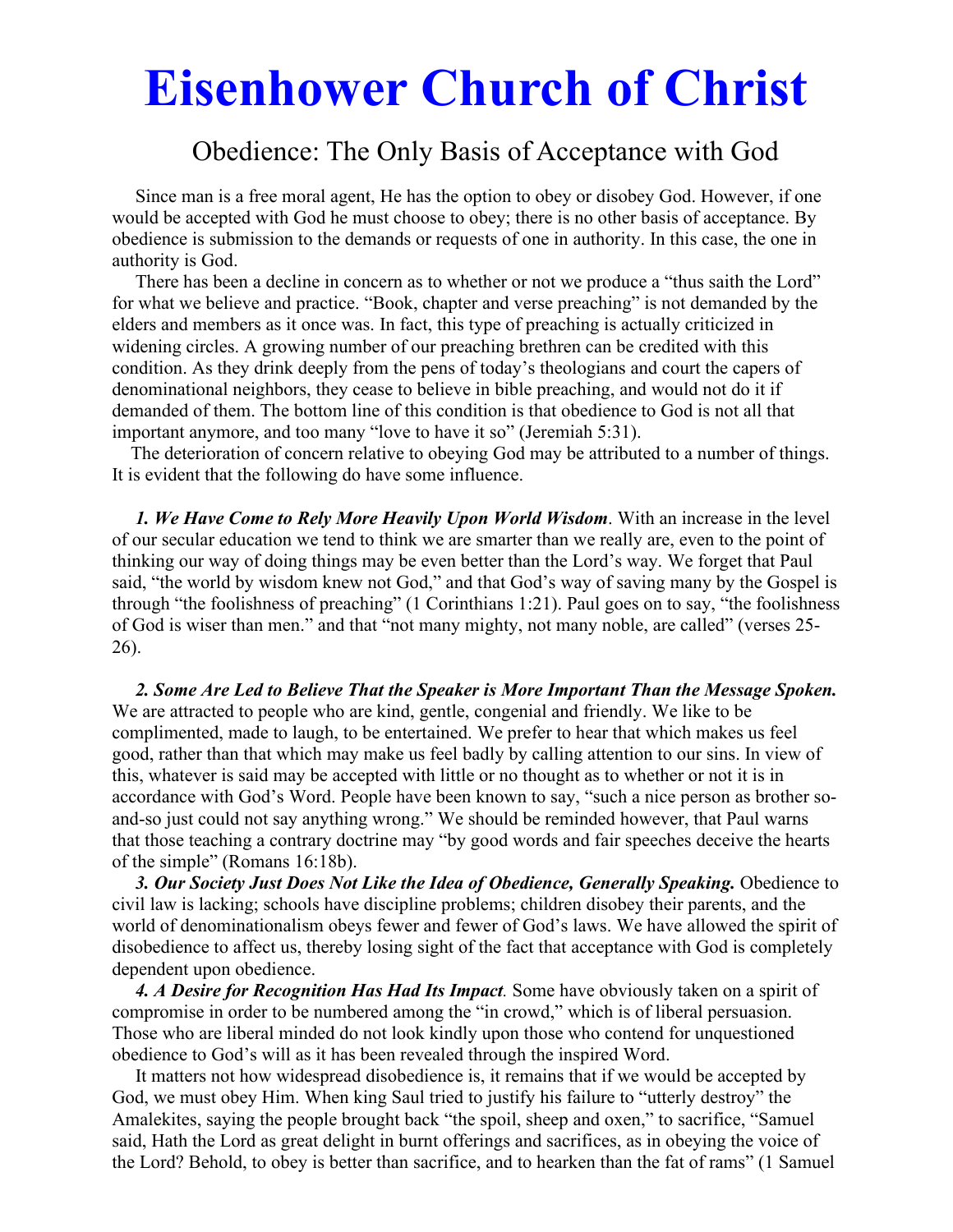# **Eisenhower Church of Christ**

# Obedience: The Only Basis of Acceptance with God

 Since man is a free moral agent, He has the option to obey or disobey God. However, if one would be accepted with God he must choose to obey; there is no other basis of acceptance. By obedience is submission to the demands or requests of one in authority. In this case, the one in authority is God.

There has been a decline in concern as to whether or not we produce a "thus saith the Lord" for what we believe and practice. "Book, chapter and verse preaching" is not demanded by the elders and members as it once was. In fact, this type of preaching is actually criticized in widening circles. A growing number of our preaching brethren can be credited with this condition. As they drink deeply from the pens of today's theologians and court the capers of denominational neighbors, they cease to believe in bible preaching, and would not do it if demanded of them. The bottom line of this condition is that obedience to God is not all that important anymore, and too many "love to have it so" (Jeremiah 5:31).

 The deterioration of concern relative to obeying God may be attributed to a number of things. It is evident that the following do have some influence.

 *1. We Have Come to Rely More Heavily Upon World Wisdom*. With an increase in the level of our secular education we tend to think we are smarter than we really are, even to the point of thinking our way of doing things may be even better than the Lord's way. We forget that Paul said, "the world by wisdom knew not God," and that God's way of saving many by the Gospel is through "the foolishness of preaching" (1 Corinthians 1:21). Paul goes on to say, "the foolishness of God is wiser than men." and that "not many mighty, not many noble, are called" (verses 25- 26).

 *2. Some Are Led to Believe That the Speaker is More Important Than the Message Spoken.*  We are attracted to people who are kind, gentle, congenial and friendly. We like to be complimented, made to laugh, to be entertained. We prefer to hear that which makes us feel good, rather than that which may make us feel badly by calling attention to our sins. In view of this, whatever is said may be accepted with little or no thought as to whether or not it is in accordance with God's Word. People have been known to say, "such a nice person as brother soand-so just could not say anything wrong." We should be reminded however, that Paul warns that those teaching a contrary doctrine may "by good words and fair speeches deceive the hearts of the simple" (Romans 16:18b).

3. Our Society Just Does Not Like the Idea of Obedience, Generally Speaking. Obedience to civil law is lacking; schools have discipline problems; children disobey their parents, and the world of denominationalism obeys fewer and fewer of God's laws. We have allowed the spirit of disobedience to affect us, thereby losing sight of the fact that acceptance with God is completely dependent upon obedience.

 *4. A Desire for Recognition Has Had Its Impact.* Some have obviously taken on a spirit of compromise in order to be numbered among the "in crowd," which is of liberal persuasion. Those who are liberal minded do not look kindly upon those who contend for unquestioned obedience to God's will as it has been revealed through the inspired Word.

 It matters not how widespread disobedience is, it remains that if we would be accepted by God, we must obey Him. When king Saul tried to justify his failure to "utterly destroy" the Amalekites, saying the people brought back "the spoil, sheep and oxen," to sacrifice, "Samuel said, Hath the Lord as great delight in burnt offerings and sacrifices, as in obeying the voice of the Lord? Behold, to obey is better than sacrifice, and to hearken than the fat of rams" (1 Samuel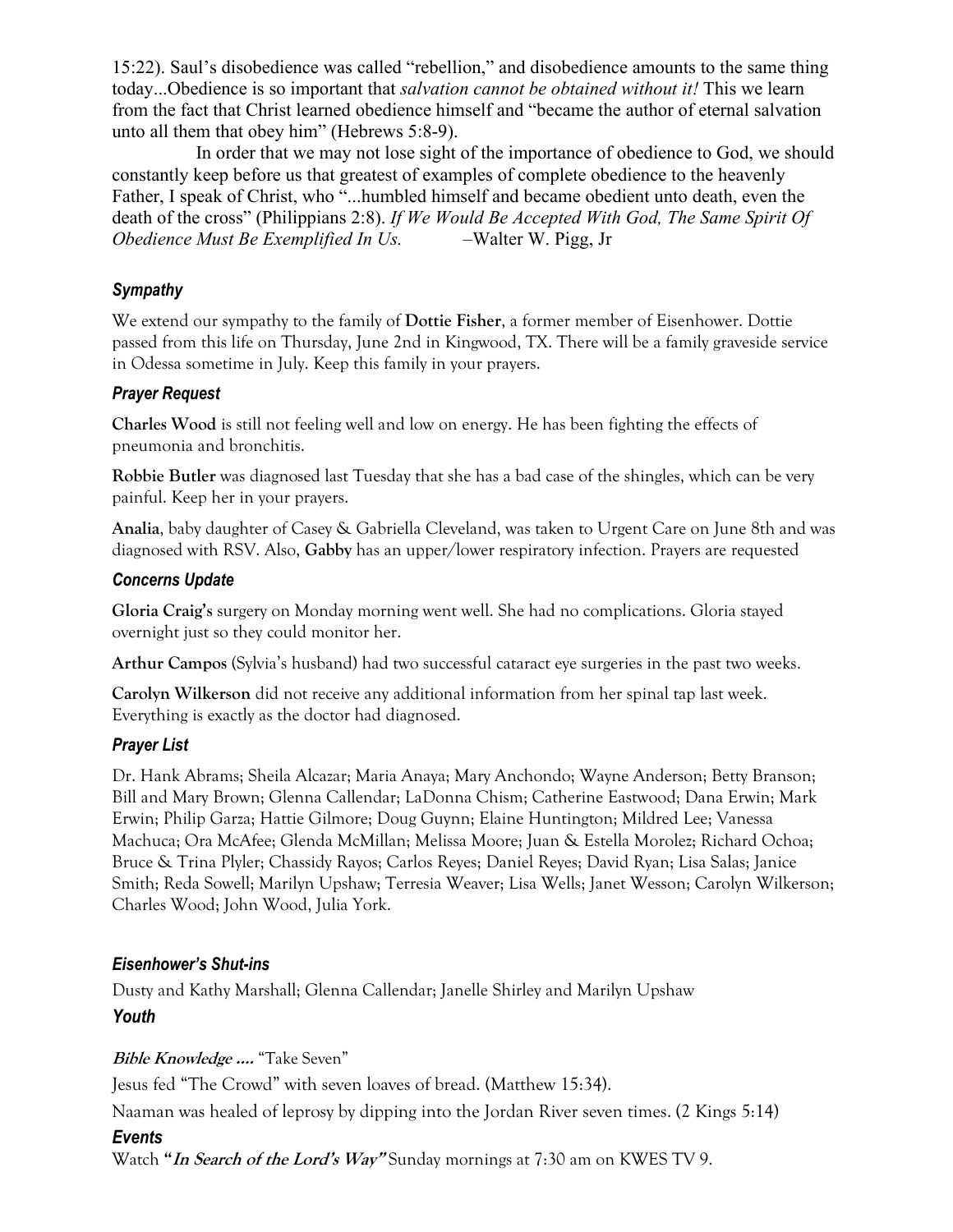15:22). Saul's disobedience was called "rebellion," and disobedience amounts to the same thing today...Obedience is so important that *salvation cannot be obtained without it!* This we learn from the fact that Christ learned obedience himself and "became the author of eternal salvation unto all them that obey him" (Hebrews 5:8-9).

 In order that we may not lose sight of the importance of obedience to God, we should constantly keep before us that greatest of examples of complete obedience to the heavenly Father, I speak of Christ, who "...humbled himself and became obedient unto death, even the death of the cross" (Philippians 2:8). *If We Would Be Accepted With God, The Same Spirit Of Obedience Must Be Exemplified In Us.* –Walter W. Pigg, Jr

#### *Sympathy*

We extend our sympathy to the family of **Dottie Fisher**, a former member of Eisenhower. Dottie passed from this life on Thursday, June 2nd in Kingwood, TX. There will be a family graveside service in Odessa sometime in July. Keep this family in your prayers.

#### *Prayer Request*

**Charles Wood** is still not feeling well and low on energy. He has been fighting the effects of pneumonia and bronchitis.

**Robbie Butler** was diagnosed last Tuesday that she has a bad case of the shingles, which can be very painful. Keep her in your prayers.

**Analia**, baby daughter of Casey & Gabriella Cleveland, was taken to Urgent Care on June 8th and was diagnosed with RSV. Also, **Gabby** has an upper/lower respiratory infection. Prayers are requested

### *Concerns Update*

**Gloria Craig's** surgery on Monday morning went well. She had no complications. Gloria stayed overnight just so they could monitor her.

**Arthur Campos** (Sylvia's husband) had two successful cataract eye surgeries in the past two weeks.

**Carolyn Wilkerson** did not receive any additional information from her spinal tap last week. Everything is exactly as the doctor had diagnosed.

# *Prayer List*

Dr. Hank Abrams; Sheila Alcazar; Maria Anaya; Mary Anchondo; Wayne Anderson; Betty Branson; Bill and Mary Brown; Glenna Callendar; LaDonna Chism; Catherine Eastwood; Dana Erwin; Mark Erwin; Philip Garza; Hattie Gilmore; Doug Guynn; Elaine Huntington; Mildred Lee; Vanessa Machuca; Ora McAfee; Glenda McMillan; Melissa Moore; Juan & Estella Morolez; Richard Ochoa; Bruce & Trina Plyler; Chassidy Rayos; Carlos Reyes; Daniel Reyes; David Ryan; Lisa Salas; Janice Smith; Reda Sowell; Marilyn Upshaw; Terresia Weaver; Lisa Wells; Janet Wesson; Carolyn Wilkerson; Charles Wood; John Wood, Julia York.

# *Eisenhower's Shut-ins*

Dusty and Kathy Marshall; Glenna Callendar; Janelle Shirley and Marilyn Upshaw *Youth* 

# **Bible Knowledge ….** "Take Seven"

Jesus fed "The Crowd" with seven loaves of bread. (Matthew 15:34).

Naaman was healed of leprosy by dipping into the Jordan River seven times. (2 Kings 5:14)

# *Events*

Watch **"In Search of the Lord's Way"** Sunday mornings at 7:30 am on KWES TV 9.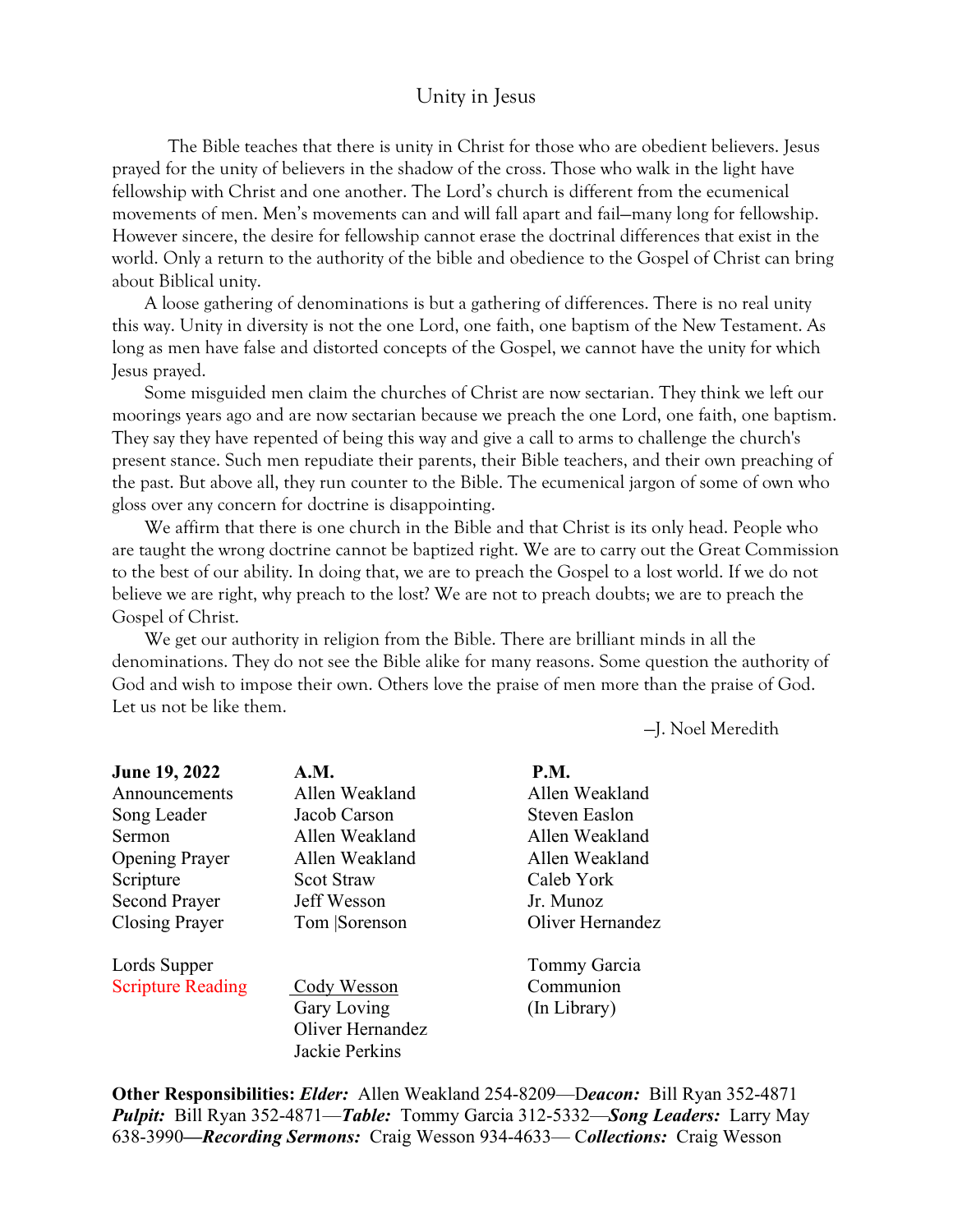#### Unity in Jesus

 The Bible teaches that there is unity in Christ for those who are obedient believers. Jesus prayed for the unity of believers in the shadow of the cross. Those who walk in the light have fellowship with Christ and one another. The Lord's church is different from the ecumenical movements of men. Men's movements can and will fall apart and fail—many long for fellowship. However sincere, the desire for fellowship cannot erase the doctrinal differences that exist in the world. Only a return to the authority of the bible and obedience to the Gospel of Christ can bring about Biblical unity.

 A loose gathering of denominations is but a gathering of differences. There is no real unity this way. Unity in diversity is not the one Lord, one faith, one baptism of the New Testament. As long as men have false and distorted concepts of the Gospel, we cannot have the unity for which Jesus prayed.

 Some misguided men claim the churches of Christ are now sectarian. They think we left our moorings years ago and are now sectarian because we preach the one Lord, one faith, one baptism. They say they have repented of being this way and give a call to arms to challenge the church's present stance. Such men repudiate their parents, their Bible teachers, and their own preaching of the past. But above all, they run counter to the Bible. The ecumenical jargon of some of own who gloss over any concern for doctrine is disappointing.

 We affirm that there is one church in the Bible and that Christ is its only head. People who are taught the wrong doctrine cannot be baptized right. We are to carry out the Great Commission to the best of our ability. In doing that, we are to preach the Gospel to a lost world. If we do not believe we are right, why preach to the lost? We are not to preach doubts; we are to preach the Gospel of Christ.

 We get our authority in religion from the Bible. There are brilliant minds in all the denominations. They do not see the Bible alike for many reasons. Some question the authority of God and wish to impose their own. Others love the praise of men more than the praise of God. Let us not be like them.

—J. Noel Meredith

| June 19, 2022            | <b>A.M.</b>       | <b>P.M.</b>          |
|--------------------------|-------------------|----------------------|
| Announcements            | Allen Weakland    | Allen Weakland       |
| Song Leader              | Jacob Carson      | <b>Steven Easlon</b> |
| Sermon                   | Allen Weakland    | Allen Weakland       |
| <b>Opening Prayer</b>    | Allen Weakland    | Allen Weakland       |
| Scripture                | <b>Scot Straw</b> | Caleb York           |
| <b>Second Prayer</b>     | Jeff Wesson       | Jr. Munoz            |
| Closing Prayer           | Tom Sorenson      | Oliver Hernandez     |
| Lords Supper             |                   | Tommy Garcia         |
| <b>Scripture Reading</b> | Cody Wesson       | Communion            |
|                          | Gary Loving       | (In Library)         |
|                          | Oliver Hernandez  |                      |
|                          | Jackie Perkins    |                      |

**Other Responsibilities:** *Elder:* Allen Weakland 254-8209—D*eacon:*Bill Ryan 352-4871 *Pulpit:* Bill Ryan 352-4871—*Table:* Tommy Garcia 312-5332—*Song Leaders:* Larry May 638-3990*—Recording Sermons:* Craig Wesson 934-4633— C*ollections:* Craig Wesson